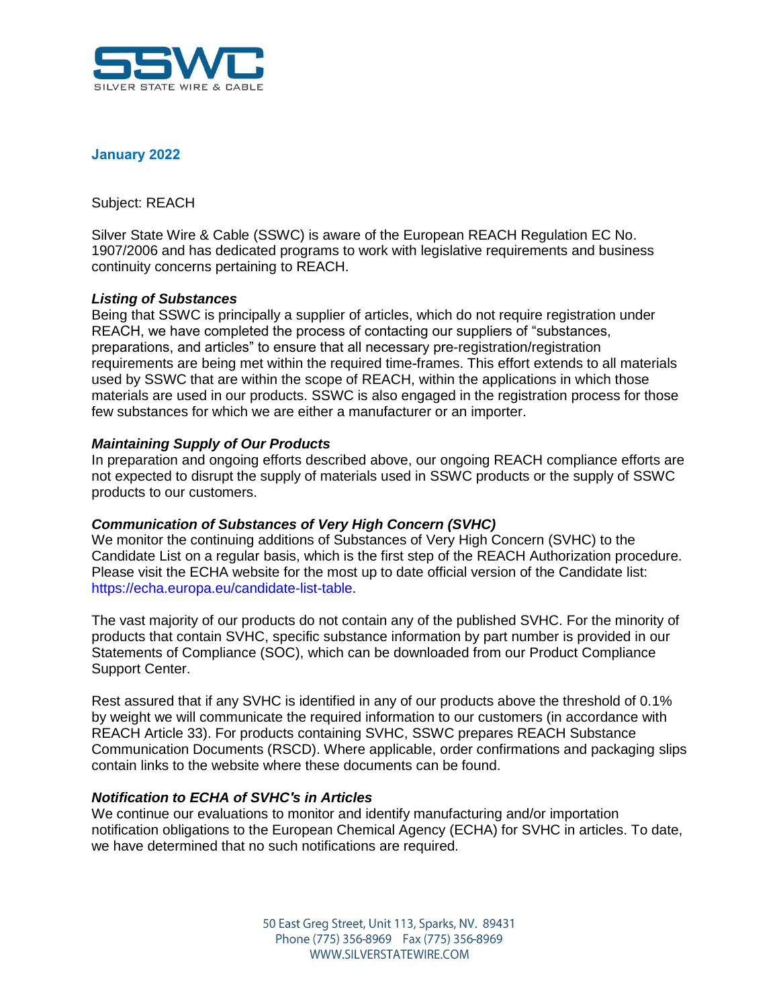

### **January 2022**

Subject: REACH

Silver State Wire & Cable (SSWC) is aware of the European REACH Regulation EC No. 1907/2006 and has dedicated programs to work with legislative requirements and business continuity concerns pertaining to REACH.

#### *Listing of Substances*

Being that SSWC is principally a supplier of articles, which do not require registration under REACH, we have completed the process of contacting our suppliers of "substances, preparations, and articles" to ensure that all necessary pre-registration/registration requirements are being met within the required time-frames. This effort extends to all materials used by SSWC that are within the scope of REACH, within the applications in which those materials are used in our products. SSWC is also engaged in the registration process for those few substances for which we are either a manufacturer or an importer.

## *Maintaining Supply of Our Products*

In preparation and ongoing efforts described above, our ongoing REACH compliance efforts are not expected to disrupt the supply of materials used in SSWC products or the supply of SSWC products to our customers.

#### *Communication of Substances of Very High Concern (SVHC)*

We monitor the continuing additions of Substances of Very High Concern (SVHC) to the Candidate List on a regular basis, which is the first step of the REACH Authorization procedure. Please visit the ECHA website for the most up to date official version of the Candidate list: https://echa.europa.eu/candidate-list-table.

The vast majority of our products do not contain any of the published SVHC. For the minority of products that contain SVHC, specific substance information by part number is provided in our Statements of Compliance (SOC), which can be downloaded from our Product Compliance Support Center.

Rest assured that if any SVHC is identified in any of our products above the threshold of 0.1% by weight we will communicate the required information to our customers (in accordance with REACH Article 33). For products containing SVHC, SSWC prepares REACH Substance Communication Documents (RSCD). Where applicable, order confirmations and packaging slips contain links to the website where these documents can be found.

## *Notification to ECHA of SVHC's in Articles*

We continue our evaluations to monitor and identify manufacturing and/or importation notification obligations to the European Chemical Agency (ECHA) for SVHC in articles. To date, we have determined that no such notifications are required.

> 50 East Greg Street, Unit 113, Sparks, NV. 89431 Phone (775) 356-8969 Fax (775) 356-8969 WWW.SII VERSTATEWIRE.COM